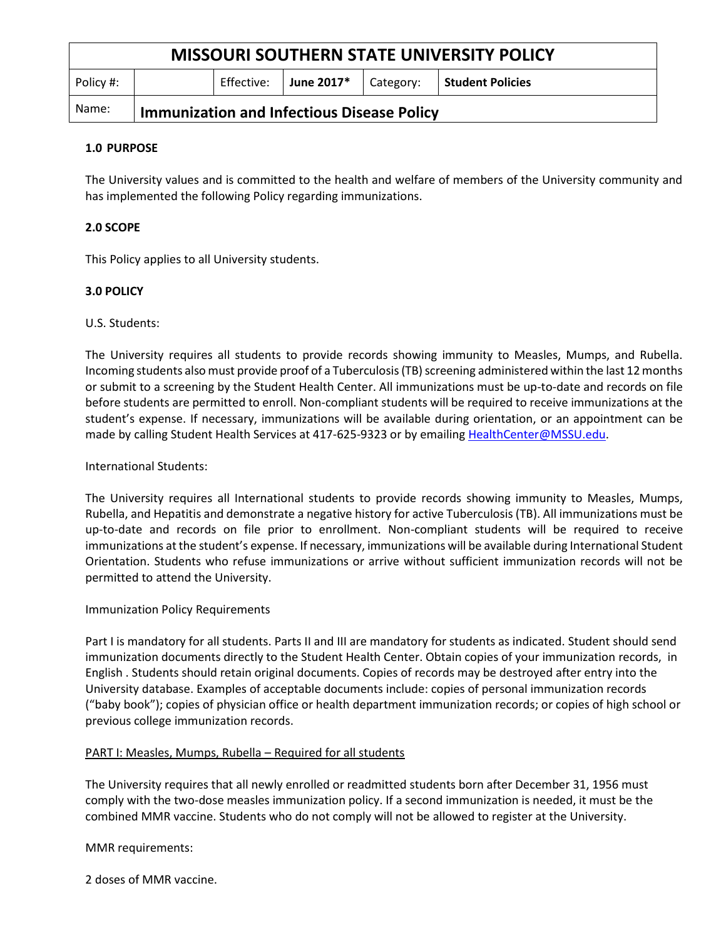| <b>MISSOURI SOUTHERN STATE UNIVERSITY POLICY</b> |                                                   |            |            |           |                  |
|--------------------------------------------------|---------------------------------------------------|------------|------------|-----------|------------------|
| Policy #:                                        |                                                   | Effective: | June 2017* | Category: | Student Policies |
| Name:                                            | <b>Immunization and Infectious Disease Policy</b> |            |            |           |                  |

## **1.0 PURPOSE**

The University values and is committed to the health and welfare of members of the University community and has implemented the following Policy regarding immunizations.

# **2.0 SCOPE**

This Policy applies to all University students.

# **3.0 POLICY**

## U.S. Students:

The University requires all students to provide records showing immunity to Measles, Mumps, and Rubella. Incoming students also must provide proof of a Tuberculosis (TB) screening administered within the last 12 months or submit to a screening by the Student Health Center. All immunizations must be up-to-date and records on file before students are permitted to enroll. Non-compliant students will be required to receive immunizations at the student's expense. If necessary, immunizations will be available during orientation, or an appointment can be made by calling Student Health Services at 417-625-9323 or by emailing [HealthCenter@MSSU.edu.](mailto:HealthCenter@MSSU.edu)

## International Students:

The University requires all International students to provide records showing immunity to Measles, Mumps, Rubella, and Hepatitis and demonstrate a negative history for active Tuberculosis (TB). All immunizations must be up-to-date and records on file prior to enrollment. Non-compliant students will be required to receive immunizations at the student's expense. If necessary, immunizations will be available during International Student Orientation. Students who refuse immunizations or arrive without sufficient immunization records will not be permitted to attend the University.

## Immunization Policy Requirements

Part I is mandatory for all students. Parts II and III are mandatory for students as indicated. Student should send immunization documents directly to the Student Health Center. Obtain copies of your immunization records, in English . Students should retain original documents. Copies of records may be destroyed after entry into the University database. Examples of acceptable documents include: copies of personal immunization records ("baby book"); copies of physician office or health department immunization records; or copies of high school or previous college immunization records.

## PART I: Measles, Mumps, Rubella – Required for all students

The University requires that all newly enrolled or readmitted students born after December 31, 1956 must comply with the two-dose measles immunization policy. If a second immunization is needed, it must be the combined MMR vaccine. Students who do not comply will not be allowed to register at the University.

MMR requirements:

2 doses of MMR vaccine.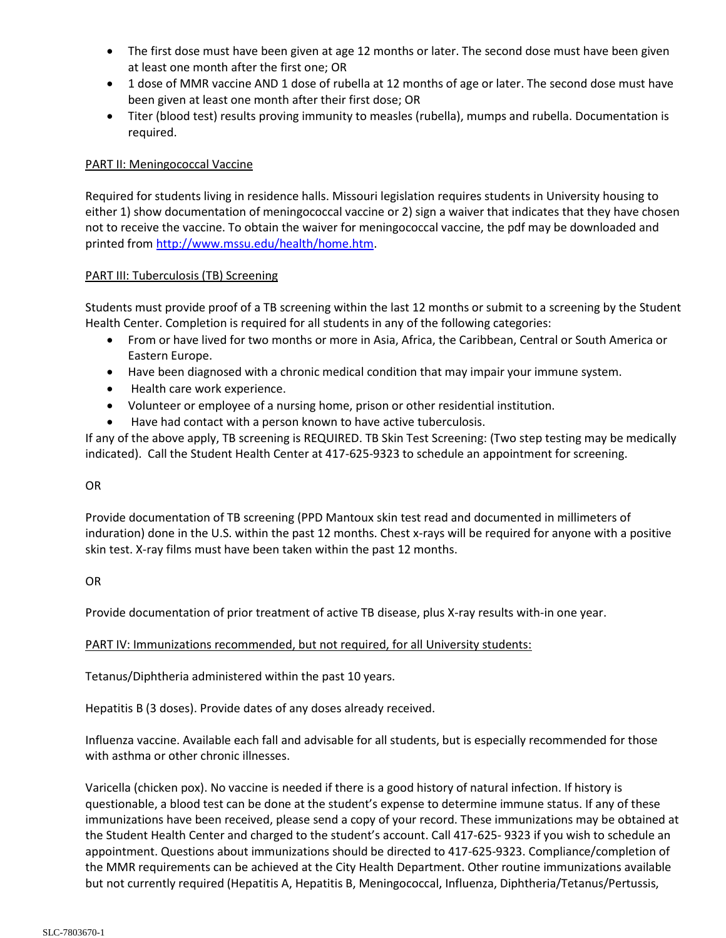- The first dose must have been given at age 12 months or later. The second dose must have been given at least one month after the first one; OR
- 1 dose of MMR vaccine AND 1 dose of rubella at 12 months of age or later. The second dose must have been given at least one month after their first dose; OR
- Titer (blood test) results proving immunity to measles (rubella), mumps and rubella. Documentation is required.

# PART II: Meningococcal Vaccine

Required for students living in residence halls. Missouri legislation requires students in University housing to either 1) show documentation of meningococcal vaccine or 2) sign a waiver that indicates that they have chosen not to receive the vaccine. To obtain the waiver for meningococcal vaccine, the pdf may be downloaded and printed fro[m http://www.mssu.edu/health/home.htm.](http://www.mssu.edu/health/home.htm)

## PART III: Tuberculosis (TB) Screening

Students must provide proof of a TB screening within the last 12 months or submit to a screening by the Student Health Center. Completion is required for all students in any of the following categories:

- From or have lived for two months or more in Asia, Africa, the Caribbean, Central or South America or Eastern Europe.
- Have been diagnosed with a chronic medical condition that may impair your immune system.
- Health care work experience.
- Volunteer or employee of a nursing home, prison or other residential institution.
- Have had contact with a person known to have active tuberculosis.

If any of the above apply, TB screening is REQUIRED. TB Skin Test Screening: (Two step testing may be medically indicated). Call the Student Health Center at 417-625-9323 to schedule an appointment for screening.

## OR

Provide documentation of TB screening (PPD Mantoux skin test read and documented in millimeters of induration) done in the U.S. within the past 12 months. Chest x-rays will be required for anyone with a positive skin test. X-ray films must have been taken within the past 12 months.

# OR

Provide documentation of prior treatment of active TB disease, plus X-ray results with-in one year.

# PART IV: Immunizations recommended, but not required, for all University students:

Tetanus/Diphtheria administered within the past 10 years.

Hepatitis B (3 doses). Provide dates of any doses already received.

Influenza vaccine. Available each fall and advisable for all students, but is especially recommended for those with asthma or other chronic illnesses.

Varicella (chicken pox). No vaccine is needed if there is a good history of natural infection. If history is questionable, a blood test can be done at the student's expense to determine immune status. If any of these immunizations have been received, please send a copy of your record. These immunizations may be obtained at the Student Health Center and charged to the student's account. Call 417-625- 9323 if you wish to schedule an appointment. Questions about immunizations should be directed to 417-625-9323. Compliance/completion of the MMR requirements can be achieved at the City Health Department. Other routine immunizations available but not currently required (Hepatitis A, Hepatitis B, Meningococcal, Influenza, Diphtheria/Tetanus/Pertussis,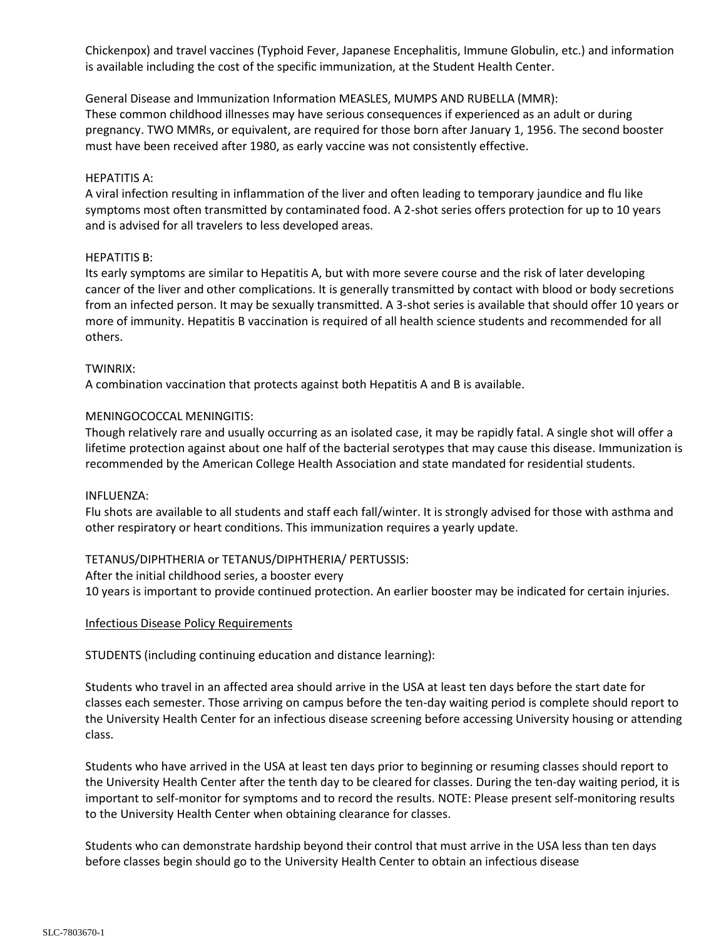Chickenpox) and travel vaccines (Typhoid Fever, Japanese Encephalitis, Immune Globulin, etc.) and information is available including the cost of the specific immunization, at the Student Health Center.

General Disease and Immunization Information MEASLES, MUMPS AND RUBELLA (MMR): These common childhood illnesses may have serious consequences if experienced as an adult or during pregnancy. TWO MMRs, or equivalent, are required for those born after January 1, 1956. The second booster must have been received after 1980, as early vaccine was not consistently effective.

## HEPATITIS A:

A viral infection resulting in inflammation of the liver and often leading to temporary jaundice and flu like symptoms most often transmitted by contaminated food. A 2-shot series offers protection for up to 10 years and is advised for all travelers to less developed areas.

### HEPATITIS B:

Its early symptoms are similar to Hepatitis A, but with more severe course and the risk of later developing cancer of the liver and other complications. It is generally transmitted by contact with blood or body secretions from an infected person. It may be sexually transmitted. A 3-shot series is available that should offer 10 years or more of immunity. Hepatitis B vaccination is required of all health science students and recommended for all others.

### TWINRIX:

A combination vaccination that protects against both Hepatitis A and B is available.

### MENINGOCOCCAL MENINGITIS:

Though relatively rare and usually occurring as an isolated case, it may be rapidly fatal. A single shot will offer a lifetime protection against about one half of the bacterial serotypes that may cause this disease. Immunization is recommended by the American College Health Association and state mandated for residential students.

#### INFLUENZA:

Flu shots are available to all students and staff each fall/winter. It is strongly advised for those with asthma and other respiratory or heart conditions. This immunization requires a yearly update.

## TETANUS/DIPHTHERIA or TETANUS/DIPHTHERIA/ PERTUSSIS:

After the initial childhood series, a booster every 10 years is important to provide continued protection. An earlier booster may be indicated for certain injuries.

### Infectious Disease Policy Requirements

STUDENTS (including continuing education and distance learning):

Students who travel in an affected area should arrive in the USA at least ten days before the start date for classes each semester. Those arriving on campus before the ten-day waiting period is complete should report to the University Health Center for an infectious disease screening before accessing University housing or attending class.

Students who have arrived in the USA at least ten days prior to beginning or resuming classes should report to the University Health Center after the tenth day to be cleared for classes. During the ten-day waiting period, it is important to self-monitor for symptoms and to record the results. NOTE: Please present self-monitoring results to the University Health Center when obtaining clearance for classes.

Students who can demonstrate hardship beyond their control that must arrive in the USA less than ten days before classes begin should go to the University Health Center to obtain an infectious disease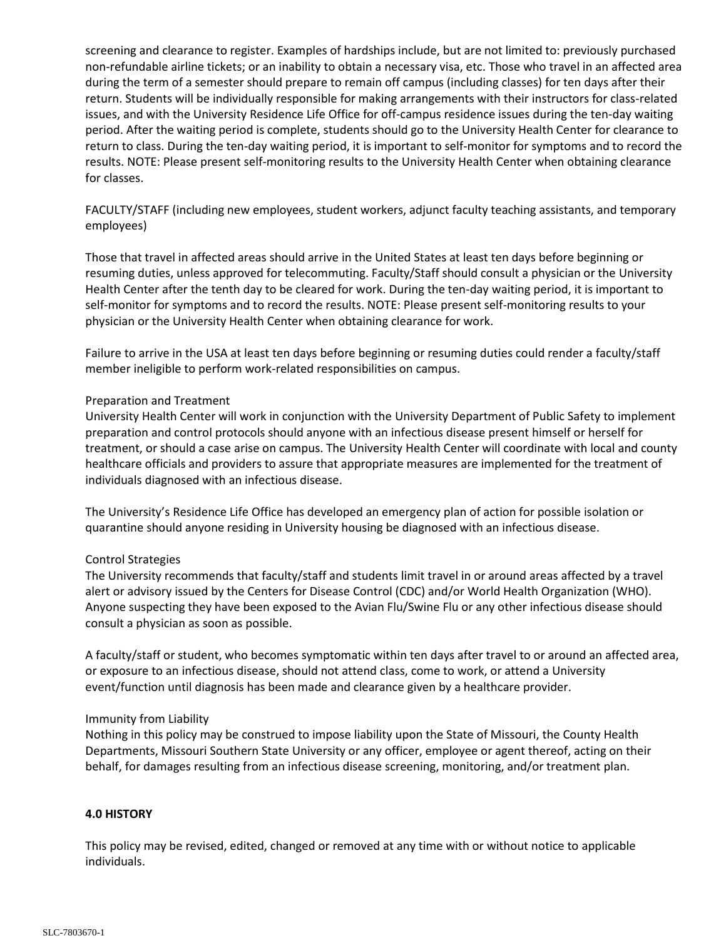screening and clearance to register. Examples of hardships include, but are not limited to: previously purchased non-refundable airline tickets; or an inability to obtain a necessary visa, etc. Those who travel in an affected area during the term of a semester should prepare to remain off campus (including classes) for ten days after their return. Students will be individually responsible for making arrangements with their instructors for class-related issues, and with the University Residence Life Office for off-campus residence issues during the ten-day waiting period. After the waiting period is complete, students should go to the University Health Center for clearance to return to class. During the ten-day waiting period, it is important to self-monitor for symptoms and to record the results. NOTE: Please present self-monitoring results to the University Health Center when obtaining clearance for classes.

FACULTY/STAFF (including new employees, student workers, adjunct faculty teaching assistants, and temporary employees)

Those that travel in affected areas should arrive in the United States at least ten days before beginning or resuming duties, unless approved for telecommuting. Faculty/Staff should consult a physician or the University Health Center after the tenth day to be cleared for work. During the ten-day waiting period, it is important to self-monitor for symptoms and to record the results. NOTE: Please present self-monitoring results to your physician or the University Health Center when obtaining clearance for work.

Failure to arrive in the USA at least ten days before beginning or resuming duties could render a faculty/staff member ineligible to perform work-related responsibilities on campus.

### Preparation and Treatment

University Health Center will work in conjunction with the University Department of Public Safety to implement preparation and control protocols should anyone with an infectious disease present himself or herself for treatment, or should a case arise on campus. The University Health Center will coordinate with local and county healthcare officials and providers to assure that appropriate measures are implemented for the treatment of individuals diagnosed with an infectious disease.

The University's Residence Life Office has developed an emergency plan of action for possible isolation or quarantine should anyone residing in University housing be diagnosed with an infectious disease.

#### Control Strategies

The University recommends that faculty/staff and students limit travel in or around areas affected by a travel alert or advisory issued by the Centers for Disease Control (CDC) and/or World Health Organization (WHO). Anyone suspecting they have been exposed to the Avian Flu/Swine Flu or any other infectious disease should consult a physician as soon as possible.

A faculty/staff or student, who becomes symptomatic within ten days after travel to or around an affected area, or exposure to an infectious disease, should not attend class, come to work, or attend a University event/function until diagnosis has been made and clearance given by a healthcare provider.

#### Immunity from Liability

Nothing in this policy may be construed to impose liability upon the State of Missouri, the County Health Departments, Missouri Southern State University or any officer, employee or agent thereof, acting on their behalf, for damages resulting from an infectious disease screening, monitoring, and/or treatment plan.

#### **4.0 HISTORY**

This policy may be revised, edited, changed or removed at any time with or without notice to applicable individuals.